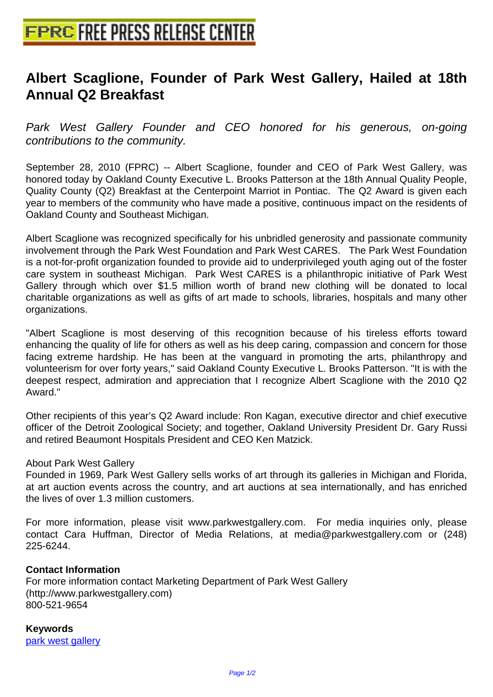## **[Albert Scaglione, Founder of Par](http://www.free-press-release-center.info)k West Gallery, Hailed at 18th Annual Q2 Breakfast**

Park West Gallery Founder and CEO honored for his generous, on-going contributions to the community.

September 28, 2010 (FPRC) -- Albert Scaglione, founder and CEO of Park West Gallery, was honored today by Oakland County Executive L. Brooks Patterson at the 18th Annual Quality People, Quality County (Q2) Breakfast at the Centerpoint Marriot in Pontiac. The Q2 Award is given each year to members of the community who have made a positive, continuous impact on the residents of Oakland County and Southeast Michigan.

Albert Scaglione was recognized specifically for his unbridled generosity and passionate community involvement through the Park West Foundation and Park West CARES. The Park West Foundation is a not-for-profit organization founded to provide aid to underprivileged youth aging out of the foster care system in southeast Michigan. Park West CARES is a philanthropic initiative of Park West Gallery through which over \$1.5 million worth of brand new clothing will be donated to local charitable organizations as well as gifts of art made to schools, libraries, hospitals and many other organizations.

"Albert Scaglione is most deserving of this recognition because of his tireless efforts toward enhancing the quality of life for others as well as his deep caring, compassion and concern for those facing extreme hardship. He has been at the vanguard in promoting the arts, philanthropy and volunteerism for over forty years," said Oakland County Executive L. Brooks Patterson. "It is with the deepest respect, admiration and appreciation that I recognize Albert Scaglione with the 2010 Q2 Award."

Other recipients of this year's Q2 Award include: Ron Kagan, executive director and chief executive officer of the Detroit Zoological Society; and together, Oakland University President Dr. Gary Russi and retired Beaumont Hospitals President and CEO Ken Matzick.

## About Park West Gallery

Founded in 1969, Park West Gallery sells works of art through its galleries in Michigan and Florida, at art auction events across the country, and art auctions at sea internationally, and has enriched the lives of over 1.3 million customers.

For more information, please visit www.parkwestgallery.com. For media inquiries only, please contact Cara Huffman, Director of Media Relations, at media@parkwestgallery.com or (248) 225-6244.

## **Contact Information**

For more information contact Marketing Department of Park West Gallery (http://www.parkwestgallery.com) 800-521-9654

**Keywords** park west gallery